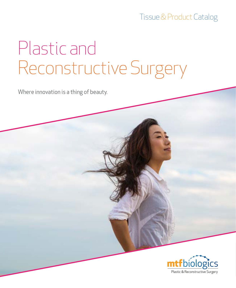### Tissue & Product Catalog

## Plastic and Reconstructive Surgery

Where innovation is a thing of beauty.

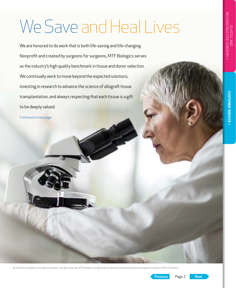## We Save and Heal Lives

We are honored to do work that is both life-saving and life-changing. Nonprofit and created by surgeons for surgeons, MTF Biologics serves as the industry's high quality benchmark in tissue and donor selection. We continually work to move beyond the expected solutions, investing in research to advance the science of allograft tissue transplantation, and always respecting that each tissue is a gift to be deeply valued.

Continued on next page.

Page 2

**CUSTOMER SERVICE** »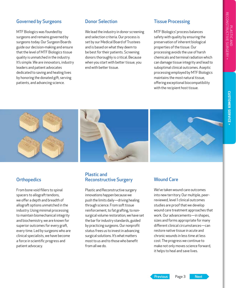#### Governed by Surgeons

MTF Biologics was founded by surgeons and remains governed by surgeons today. Our Surgeon Boards guide our decision-making and ensure that the level of MTF Biologics tissue quality is unmatched in the industry. It's simple. We are innovators, industry leaders and patient advocates dedicated to saving and healing lives by honoring the donated gift, serving patients, and advancing science.

#### Donor Selection

We lead the industry in donor screening and selection criteria. Our process is set by our Medical Board of Trustees and is based on what they deem to be best for their patients. Screening donors thoroughly is critical. Because when you start with better tissue, you end with better tissue.

#### Tissue Processing

MTF Biologics' process balances safety with quality by ensuring the preservation of inherent biological properties of the tissue. Our processing avoids the use of harsh chemicals and terminal radiation which can damage tissue integrity and lead to suboptimal clinical outcomes. Aseptic processing employed by MTF Biologics maintains the most natural tissue, offering exceptional biocompatibility with the recipient host tissue.







From bone void fillers to spinal spacers to allograft tendons, we offer a depth and breadth of allograft options unmatched in the industry. Using minimal processing to maintain biomechanical integrity and biochemistry, we are known for superior outcomes for every graft, every time. Led by surgeons who are clinical specialists, we have become a force in scientific progress and patient advocacy.

#### Plastic and Reconstructive Surgery

Plastic and Reconstructive surgery innovations happen because we push the limits daily—driving healing through science. From soft tissue reinforcement, to fat grafting, to nonsurgical volume restoration, we have set the bar for industry standards, guided by practicing surgeons. Our nonprofit status frees us to invest in advancing surgical solutions. It's what matters most to us and to those who benefit from all we do.

#### Wound Care

We've taken wound care outcomes into new territory. Our multiple, peerreviewed, level 1 clinical outcomes studies are proof that we develop wound care treatment approaches that work. Our advancements—in shapes, sizes and forms appropriate for many different clinical circumstances—can restore native tissue in acute and chronic wounds in less time at less cost. The progress we continue to make not only moves science forward, it helps to heal and save lives.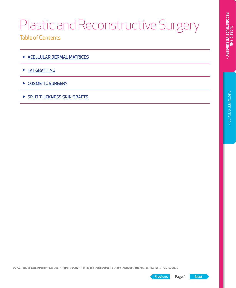Table of Contents

- ▶ [ACELLULAR DERMAL MATRICES](#page-4-0)
- ▶ [FAT GRAFTING](#page-5-0)
- ▶ [COSMETIC SURGERY](#page-6-0)
- ▶ [SPLIT THICKNESS SKIN GRAFTS](#page-7-0)

© 2022 Musculoskeletal Transplant Foundation. All rights reserved. MTF Biologics is a registered trademark of the Musculoskeletal Transplant Foundation. MKTG-1232 Rev3

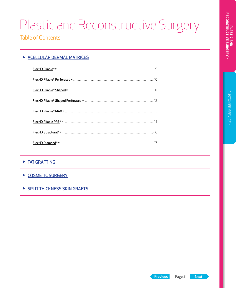#### <span id="page-4-0"></span>▶ ACELLULAR DERMAL MATRICES

#### ▶ [FAT GRAFTING](#page-5-0)

#### ▶ [COSMETIC SURGERY](#page-6-0)

#### ▶ [SPLIT THICKNESS SKIN GRAFTS](#page-7-0)

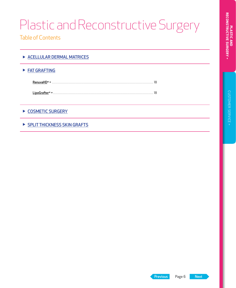<span id="page-5-0"></span>Table of Contents

#### ▶ FAT GRAFTING

| RenuvaHD <sup>®</sup> »    |  |
|----------------------------|--|
| LipoGrafter <sup>®</sup> » |  |

#### ▶ [COSMETIC SURGERY](#page-6-0)

▶ [SPLIT THICKNESS SKIN GRAFTS](#page-7-0)

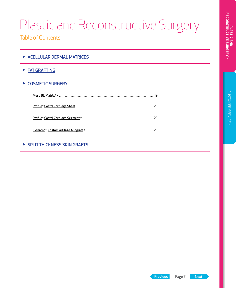<span id="page-6-0"></span>Table of Contents

| ACELLULAR DERMAL MATRICES |  |
|---------------------------|--|
|                           |  |

▶ [FAT GRAFTING](#page-5-0)

#### ▶ COSMETIC SURGERY

| Profile® Costal Cartilage Sheet (1111) 2011 - 2011 - 2012 - 2014 - 2014 - 2014 - 2014 - 2014 - 2014 - 2014 - 20 |  |
|-----------------------------------------------------------------------------------------------------------------|--|
|                                                                                                                 |  |
|                                                                                                                 |  |

#### ▶ [SPLIT THICKNESS SKIN GRAFTS](#page-7-0)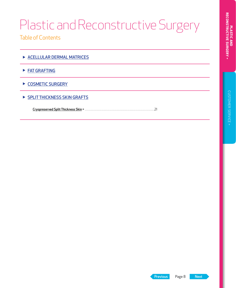<span id="page-7-0"></span>Table of Contents

- ▶ [ACELLULAR DERMAL MATRICES](#page-4-0)
- ▶ [FAT GRAFTING](#page-5-0)
- ▶ [COSMETIC SURGERY](#page-6-0)
- ▶ SPLIT THICKNESS SKIN GRAFTS

Cryopreserved Split Thickness Skin »[. 21](#page-20-0)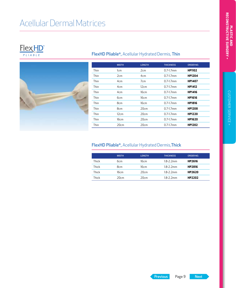## <span id="page-8-0"></span>Acellular Dermal Matrices

## FlexHD<sup>®</sup>



#### FlexHD Pliable®, Acellular Hydrated Dermis, Thin

|      | <b>WIDTH</b>    | <b>LENGTH</b>   | <b>THICKNESS</b> | <b>ORDER NO.</b> |  |
|------|-----------------|-----------------|------------------|------------------|--|
| Thin | 1cm             | 2cm             | $0.7 - 1.7$ mm   | <b>HP1102</b>    |  |
| Thin | 2cm             | 4 <sub>cm</sub> | $0.7 - 1.7$ mm   | <b>HP1204</b>    |  |
| Thin | 4 <sub>cm</sub> | 7 <sub>cm</sub> | $0.7 - 1.7$ mm   | HP1407           |  |
| Thin | 4 <sub>cm</sub> | 12cm            | $0.7 - 1.7$ mm   | <b>HP1412</b>    |  |
| Thin | 4 <sub>cm</sub> | 16cm            | $0.7 - 1.7$ mm   | <b>HP1416</b>    |  |
| Thin | 6cm             | 16cm            | $0.7 - 1.7$ mm   | <b>HP1616</b>    |  |
| Thin | 8cm             | 16cm            | $0.7 - 1.7$ mm   | <b>HP1816</b>    |  |
| Thin | 8cm             | 20cm            | $0.7 - 1.7$ mm   | <b>HP1208</b>    |  |
| Thin | 12cm            | 20cm            | $0.7 - 1.7$ mm   | HP1220           |  |
| Thin | 16cm            | 20cm            | $0.7 - 1.7$ mm   | HP1620           |  |
| Thin | 20cm            | 20cm            | $0.7 - 1.7$ mm   | <b>HP1202</b>    |  |

#### FlexHD Pliable®, Acellular Hydrated Dermis,Thick

|       | <b>WIDTH</b> | <b>LENGTH</b> | <b>THICKNESS</b> | ORDER NO.     |
|-------|--------------|---------------|------------------|---------------|
| Thick | 6cm          | 16cm          | 18-2 2mm         | <b>HP2616</b> |
| Thick | 8cm          | 16cm          | 18-2 2mm         | <b>HP2816</b> |
| Thick | 16cm         | 20cm          | $1.8 - 2.2$ mm   | HP2620        |
| Thick | 20cm         | 20cm          | 1.8-2.2mm        | HP2202        |

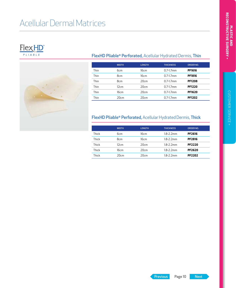## <span id="page-9-0"></span>Acellular Dermal Matrices





#### FlexHD Pliable® Perforated, Acellular Hydrated Dermis, Thin

|      | <b>WIDTH</b> | <b>LENGTH</b> | <b>THICKNESS</b> | ORDER NO.     |
|------|--------------|---------------|------------------|---------------|
| Thin | 6cm          | 16cm          | $0.7 - 1.7$ mm   | <b>PF1616</b> |
| Thin | 8cm          | 16cm          | $0.7 - 1.7$ mm   | <b>PF1816</b> |
| Thin | 8cm          | 20cm          | $0.7 - 1.7$ mm   | <b>PF1208</b> |
| Thin | 12cm         | 20cm          | $0.7 - 1.7$ mm   | <b>PF1220</b> |
| Thin | 16cm         | 20cm          | $0.7 - 1.7$ mm   | <b>PF1620</b> |
| Thin | 20cm         | 20cm          | $0.7 - 1.7$ mm   | <b>PF1202</b> |

#### FlexHD Pliable® Perforated, Acellular Hydrated Dermis, Thick

|       | <b>WIDTH</b> | <b>LENGTH</b> | <b>THICKNESS</b> | ORDER NO.     |
|-------|--------------|---------------|------------------|---------------|
| Thick | бcт          | 16cm          | $1.8 - 2.2$ mm   | <b>PF2616</b> |
| Thick | 8cm          | 16cm          | 1.8-2.2mm        | <b>PF2816</b> |
| Thick | 12cm         | 20cm          | $1.8 - 2.2$ mm   | <b>PF2220</b> |
| Thick | 16cm         | 20cm          | $1.8 - 2.2$ mm   | <b>PF2620</b> |
| Thick | 20cm         | 20cm          | $1.8 - 2.2$ mm   | <b>PF2202</b> |

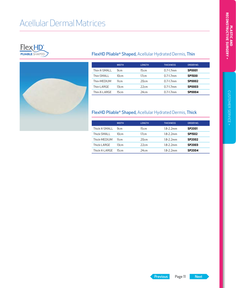## <span id="page-10-0"></span>Acellular Dermal Matrices





#### FlexHD Pliable® Shaped, Acellular Hydrated Dermis, Thin

|               | <b>WIDTH</b>    | <b>LENGTH</b> | <b>THICKNESS</b> | ORDER NO.     |
|---------------|-----------------|---------------|------------------|---------------|
| Thin-X-SMALL  | 9 <sub>cm</sub> | 15cm          | $0.7 - 1.7$ mm   | <b>SP0001</b> |
| Thin-SMALL    | 10cm            | 17cm          | $07-17$ mm       | <b>SP1500</b> |
| Thin-MEDIUM   | 11cm            | 20cm          | $07-17$ mm       | <b>SP0002</b> |
| Thin-I ARGF   | 13cm            | 22cm          | $0.7 - 1.7$ mm   | <b>SP0003</b> |
| Thin-X-I ARGF | 15cm            | 24cm          | $0.7 - 1.7$ mm   | <b>SP0004</b> |

#### FlexHD Pliable® Shaped, Acellular Hydrated Dermis, Thick

|                | <b>WIDTH</b>    | <b>LENGTH</b> | <b>THICKNESS</b> | ORDER NO.     |
|----------------|-----------------|---------------|------------------|---------------|
| Thick-X-SMALL  | 9 <sub>cm</sub> | 15cm          | 1.8-2.2mm        | <b>SP2001</b> |
| Thick-SMALL    | 10cm            | 17cm          | $1.8 - 2.2$ mm   | <b>SP1502</b> |
| Thick-MFDIUM   | 11cm            | 20cm          | 18-2 2mm         | SP2002        |
| Thick-LARGE    | 13cm            | 22cm          | 1.8-2.2mm        | SP2003        |
| Thick-X-I ARGF | 15cm            | 24cm          | 1.8-2.2mm        | SP2004        |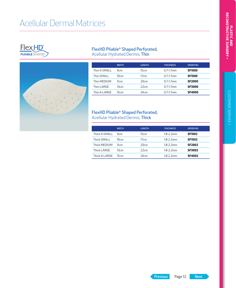## <span id="page-11-0"></span>Acellular Dermal Matrices





#### FlexHD Pliable® Shaped Perforated, Acellular Hydrated Dermis, Thin

|               | <b>WIDTH</b>    | <b>LENGTH</b> | <b>THICKNESS</b> | ORDER NO.     |
|---------------|-----------------|---------------|------------------|---------------|
| Thin-X-SMALL  | 9 <sub>cm</sub> | 15cm          | $0.7 - 1.7$ mm   | <b>SF1000</b> |
| Thin-SMALL    | 10cm            | 17cm          | $0.7 - 1.7$ mm   | <b>SF1500</b> |
| Thin-MEDIUM   | 11cm            | 20cm          | $0.7 - 1.7$ mm   | <b>SF2000</b> |
| Thin-I ARGF   | 13cm            | 22cm          | $07-17$ mm       | <b>SF3000</b> |
| Thin-X-I ARGF | 15cm            | 24cm          | $0.7 - 1.7$ mm   | <b>SF4000</b> |

#### FlexHD Pliable® Shaped Perforated, Acellular Hydrated Dermis, Thick

|                | <b>WIDTH</b>    | <b>LENGTH</b> | <b>THICKNESS</b> | ORDER NO.     |
|----------------|-----------------|---------------|------------------|---------------|
| Thick-X-SMALL  | 9 <sub>cm</sub> | 15cm          | 18-2 2mm         | <b>SF1002</b> |
| Thick-SMALL    | 10cm            | 17cm          | 18-2 2mm         | <b>SF1502</b> |
| Thick-MFDIUM   | 11cm            | 20cm          | 18-2 2mm         | <b>SF2002</b> |
| Thick-LARGE    | 13cm            | 22cm          | 18-2 2mm         | <b>SF3002</b> |
| Thick-X-I ARGF | 15cm            | 24cm          | 18-2 2mm         | <b>SF4002</b> |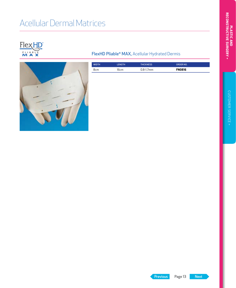## <span id="page-12-0"></span>Acellular Dermal Matrices





#### FlexHD Pliable® MAX, Acellular Hydrated Dermis

| <b>WIDTH</b> | LENGTH | <b>THICKNESS</b> | ORDER NO.     |
|--------------|--------|------------------|---------------|
| 8cm          | l6cm   | 0.8-1.7mm        | <b>FN0816</b> |

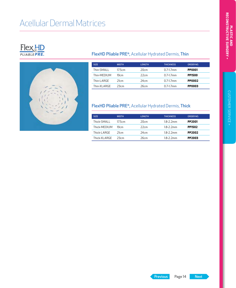## <span id="page-13-0"></span>Acellular Dermal Matrices





#### FlexHD Pliable PRE®, Acellular Hydrated Dermis, Thin

| <b>SIZE</b>  | <b>WIDTH</b> | <b>LENGTH</b> | <b>THICKNESS</b> | ORDER NO.     |
|--------------|--------------|---------------|------------------|---------------|
| Thin-SMAI I  | 175cm        | 20cm          | $07-17$ mm       | <b>PP0001</b> |
| Thin-MFDIUM  | 19cm         | 22cm          | $0.7 - 1.7$ mm   | <b>PP1500</b> |
| Thin-I ARGF  | 21cm         | 24cm          | $07-17$ mm       | <b>PP0002</b> |
| Thin-XI ARGF | 23cm         | 26cm          | $07-17$ mm       | <b>PP0003</b> |

#### FlexHD Pliable PRE®, Acellular Hydrated Dermis, Thick

| <b>SIZE</b>   | <b>WIDTH</b> | <b>LENGTH</b> | <b>THICKNESS</b> | ORDER NO.     |
|---------------|--------------|---------------|------------------|---------------|
| Thick-SMALL   | 175cm        | 20cm          | $1.8 - 2.2$ mm   | <b>PP2001</b> |
| Thick-MEDIUM  | 19cm         | 22cm          | $1.8 - 2.2$ mm   | <b>PP1502</b> |
| Thick-I ARGF  | 21cm         | 24cm          | $1.8 - 2.2$ mm   | <b>PP2002</b> |
| Thick-XI ARGF | 23cm         | 26cm          | 18-2 2mm         | PP2003        |

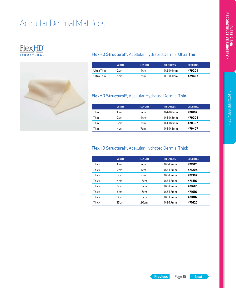## <span id="page-14-0"></span>Acellular Dermal Matrices





#### FlexHD Structural®, Acellular Hydrated Dermis, Ultra Thin

|            | <b>WIDTH</b> | <b>LENGTH</b> | <b>THICKNESS</b> | ORDER NO. |
|------------|--------------|---------------|------------------|-----------|
| Ultra Thin | 2cm          | 4cm           | $0.2 - 0.4$ mm   | 479204    |
| Ultra Thin | 4cm          | 7cm           | $0.2 - 0.4$ mm   | 479407    |

#### FlexHD Structural®, Acellular Hydrated Dermis, Thin

|      | <b>WIDTH</b>    | <b>LENGTH</b>   | <b>THICKNESS</b> | <b>ORDER NO.</b> |
|------|-----------------|-----------------|------------------|------------------|
| Thin | lcm             | 2cm             | $0.4 - 0.8$ mm   | 470102           |
| Thin | 2cm             | 4 <sub>cm</sub> | $0.4 - 0.8$ mm   | 470204           |
| Thin | 3 <sub>cm</sub> | 7 <sub>cm</sub> | $0.4 - 0.8$ mm   | 470307           |
| Thin | 4cm             | 7 <sub>cm</sub> | $0.4 - 0.8$ mm   | 470407           |

#### FlexHD Structural®, Acellular Hydrated Dermis, Thick

|       | <b>WIDTH</b>     | <b>LENGTH</b>   | <b>THICKNESS</b> | <b>ORDER NO.</b> |
|-------|------------------|-----------------|------------------|------------------|
|       |                  |                 |                  |                  |
| Thick | 1cm              | 2cm             | $0.8 - 1.7$ mm   | 471102           |
| Thick | 2cm              | 4 <sub>cm</sub> | $0.8 - 1.7$ mm   | 471204           |
| Thick | 3cm              | 7 <sub>cm</sub> | $0.8 - 1.7$ mm   | 471307           |
| Thick | 4 <sub>cm</sub>  | 16cm            | $0.8 - 1.7$ mm   | 471416           |
| Thick | 6 <sub>cm</sub>  | 12cm            | $0.8 - 1.7$ mm   | 471612           |
| Thick | 6 <sub>cm</sub>  | 16cm            | $0.8 - 1.7$ mm   | 471616           |
| Thick | 8 <sub>cm</sub>  | 16cm            | $0.8 - 1.7$ mm   | 471816           |
| Thick | 16 <sub>cm</sub> | 20cm            | $0.8 - 1.7$ mm   | 471620           |

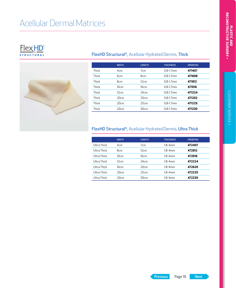## Acellular Dermal Matrices

#### **FlexHD**<sup>®</sup> **STRUCTURAL**



#### FlexHD Structural®, Acellular Hydrated Dermis, Thick

|       | <b>WIDTH</b>    | <b>LENGTH</b>   | <b>THICKNESS</b> | <b>ORDER NO.</b> |
|-------|-----------------|-----------------|------------------|------------------|
| Thick | 4 <sub>cm</sub> | 7 <sub>cm</sub> | $0.8 - 1.7$ mm   | 471407           |
| Thick | 6 <sub>cm</sub> | 8 <sub>cm</sub> | $0.8 - 1.7$ mm   | 471608           |
| Thick | 8 <sub>cm</sub> | 12cm            | $0.8 - 1.7$ mm   | 471812           |
| Thick | 10cm            | 16cm            | $0.8 - 1.7$ mm   | 471016           |
| Thick | 12cm            | 24cm            | $0.8 - 1.7$ mm   | 471224           |
| Thick | 20cm            | 20cm            | $0.8 - 1.7$ mm   | 471202           |
| Thick | 20cm            | 25cm            | $0.8 - 1.7$ mm   | 471225           |
| Thick | 20cm            | 30cm            | $0.8 - 1.7$ mm   | 471230           |

#### FlexHD Structural®, Acellular Hydrated Dermis, Ultra Thick

|             | <b>WIDTH</b>    | <b>LENGTH</b>   | <b>THICKNESS</b> | ORDER NO. |
|-------------|-----------------|-----------------|------------------|-----------|
| Ultra Thick | 4 <sub>cm</sub> | 7 <sub>cm</sub> | $18-4mm$         | 472407    |
| Ultra Thick | 8cm             | 12cm            | $1.8 - 4$ mm     | 472812    |
| Ultra Thick | 10cm            | 16cm            | $18-4mm$         | 472016    |
| Ultra Thick | 12cm            | 24cm            | $18-4mm$         | 472224    |
| Ultra Thick | 16cm            | 20cm            | $1.8 - 4$ mm     | 472620    |
| Ultra Thick | 20cm            | 25cm            | 1.8-4mm          | 472225    |
| Ultra Thick | 20cm            | 30cm            | $1.8 - 4$ mm     | 472230    |

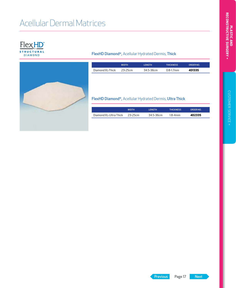## <span id="page-16-0"></span>Acellular Dermal Matrices

**FlexHD**<sup>®</sup> **STRUCTURAL DIAMOND** 

#### FlexHD Diamond®, Acellular Hydrated Dermis, Thick

|                  | <b>WIDTH</b> | <b>I FNGTH</b> | <b>THICKNESS</b> | <b>ORDER NO</b> |
|------------------|--------------|----------------|------------------|-----------------|
| Diamond XL-Thick | $23 - 25$ cm | 345-36cm       | $0.8 - 1.7$ mm   | 4D1335          |

#### FlexHD Diamond®, Acellular Hydrated Dermis, Ultra Thick

|                        | <b>WIDTH</b> | <b>I FNGTH</b> | <b>THICKNESS</b> | ORDER NO |
|------------------------|--------------|----------------|------------------|----------|
| Diamond XL-Ultra Thick | 23-25cm      | 34.5-36cm      | 18-4mm           | 4D2335   |

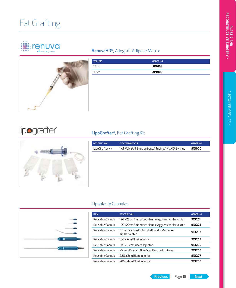## <span id="page-17-0"></span>Fat Grafting





#### RenuvaHD®, Allograft Adipose Matrix

| <b>VOLUME</b>     | <b>ORDER NO.</b> |
|-------------------|------------------|
| 1.5cc             | AP0101           |
| 3.0 <sub>cc</sub> | AP0103           |

### lipografter

#### LipoGrafter®, Fat Grafting Kit



| <b>DESCRIPTION</b> | <b>KIT COMPONENTS</b>                                 | ORDER NO. |
|--------------------|-------------------------------------------------------|-----------|
| LipoGrafter Kit    | 1AT-Valve®, 4 Storage bags, 1 Tubing, 1 KVAC® Syringe | 913000    |
|                    |                                                       |           |
|                    |                                                       |           |
|                    |                                                       |           |
|                    |                                                       |           |
|                    |                                                       |           |
|                    |                                                       |           |
|                    |                                                       |           |

#### Lipoplasty Cannulas



| <b>ITEM</b>      | <b>DESCRIPTION</b>                                     | ORDER NO. |
|------------------|--------------------------------------------------------|-----------|
| Reusable Cannula | 12G x25cm Embedded Handle Aggressive Harvester         | 913201    |
| Reusable Cannula | 12G x20cm Embedded Handle Aggressive Harvester         | 913202    |
| Reusable Cannula | 3 5mm x 25cm Embedded Handle Mercedes<br>Tip Harvester | 913203    |
| Reusable Cannula | 18G x 7cm Blunt Injector                               | 913204    |
| Reusable Cannula | 14G x 15cm Curved Injector                             | 913205    |
| Reusable Cannula | 25cm x 15cm x 3.8cm Sterilization Container            | 913206    |
| Reusable Cannula | 22G x 3cm Blunt Injector                               | 913207    |
| Reusable Cannula | 20G x 4cm Blunt Injector                               | 913208    |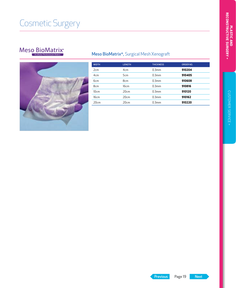## <span id="page-18-0"></span>Cosmetic Surgery

### Meso BioMatrix<sup>®</sup>



#### Meso BioMatrix®, Surgical Mesh Xenograft

| <b>WIDTH</b>    | <b>LENGTH</b>   | <b>THICKNESS</b>  | <b>ORDER NO.</b> |
|-----------------|-----------------|-------------------|------------------|
| 2cm             | 4 <sub>cm</sub> | 0.3 <sub>mm</sub> | 910204           |
| 4 <sub>cm</sub> | 5cm             | 0.3mm             | 910405           |
| 6cm             | 8cm             | 0.3 <sub>mm</sub> | 910608           |
| 8cm             | 16cm            | 0.3mm             | 910816           |
| 10cm            | 20cm            | 0.3 <sub>mm</sub> | 910120           |
| 16cm            | 20cm            | 0.3mm             | 910162           |
| 20cm            | 20cm            | 0.3 <sub>mm</sub> | 910220           |

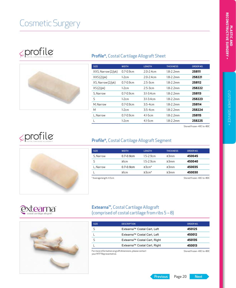## <span id="page-19-0"></span>Cosmetic Surgery

## SOPOTILE



#### Profile®, Costal Cartilage Allograft Sheet

| <b>SIZE</b>        | <b>WIDTH</b>   | <b>LENGTH</b> | <b>THICKNESS</b> | ORDER NO. |
|--------------------|----------------|---------------|------------------|-----------|
| XXS, Narrow (2/pk) | $0.7 - 0.9$ cm | $20-24cm$     | 18-2 2mm         | 258111    |
| XXS(2/pk)          | $1-2cm$        | $20-24cm$     | $1.8 - 2.2$ mm   | 258221    |
| XS, Narrow (2/pk)  | $0.7 - 0.9$ cm | $25-3cm$      | 18-2 2mm         | 258112    |
| XS(2/pk)           | $1-2cm$        | $2.5 - 3cm$   | 18-2 2mm         | 258222    |
| S. Narrow          | $07 - 09$ cm   | $31-34cm$     | 18-2 2mm         | 258113    |
| S                  | $1-2cm$        | $31-34cm$     | 18-2 2mm         | 258223    |
| M. Narrow          | $0.7 - 0.9$ cm | $3.5 - 4cm$   | 18-2 2mm         | 258114    |
| M                  | $1-2cm$        | $3.5 - 4cm$   | 18-2 2mm         | 258224    |
| L. Narrow          | $0.7 - 0.9$ cm | $41-5cm$      | $1.8 - 2.2$ mm   | 258115    |
|                    | $1-2cm$        | $4.1 - 5cm$   | 1.8-2.2mm        | 258225    |
|                    |                |               |                  |           |

Stored frozen -40C to -80C



#### Profile®, Costal Cartilage Allograft Segment

| <b>SIZE</b>             | <b>WIDTH</b>   | <b>LENGTH</b>  | <b>THICKNESS</b> | ORDER NO.                |
|-------------------------|----------------|----------------|------------------|--------------------------|
| S. Narrow               | $0.7 - 0.9$ cm | $1.5 - 2.9$ cm | 23mm             | 450045                   |
|                         | 2cm            | $1.5 - 2.9$ cm | $\geq$ 3mm       | 450040                   |
| L, Narrow               | $0.7 - 0.9$ cm | $\geq 3$ cm*   | 23mm             | 450035                   |
|                         | 2cm            | $\geq$ 3cm*    | 23mm             | 450030                   |
| * Average length: 4.5cm |                |                |                  | Stored frozen-40C to-80C |





#### Extearna™, Costal Cartilage Allograft (comprised of costal cartilage from ribs 5 – 8)

| <b>SIZE</b> | <b>DESCRIPTION</b>           | <b>ORDER NO.</b>        |
|-------------|------------------------------|-------------------------|
| S           | Extearna™ Costal Cart, Left  | 450125                  |
|             | Extearna™ Costal Cart, Left  | 450012                  |
| S           | Extearna™ Costal Cart, Right | 450135                  |
|             | Extearna™ Costal Cart, Right | 450013                  |
|             |                              | Channelshause 10Cha 00C |

For more information on graft dimensions, please contact results and the stored frozen -40C to -80C<br>your MTF Representative.

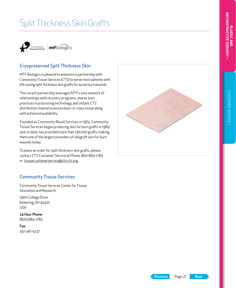## <span id="page-20-0"></span>Split Thickness Skin Grafts



#### Cryopreserved Split Thickness Skin

MTF Biologics is pleased to announce a partnership with Community Tissue Services (CTS) to serve more patients with life-saving split thickness skin grafts for acute burn wounds.

This recent partnership leverages MTF's vast network of relationships with recovery programs, shares best practices in processing technology, and utilizes CTS' distribution channel to ensure best- in -class tissue along with enhanced availability.

Founded as Community Blood Services in 1964, Community Tissue Services began producing skin for burn grafts in 1989 and, to date, has provided more than 730,000 grafts, making them one of the largest providers of allograft skin for burn wounds today.

To place an order for split thickness skin grafts, please contact CTS Customer Service at Phone: 800-684-7783 or [tissuecustomerservice@cbccts.org](mailto:tissuecustomerservice%40cbccts.org?subject=). .



#### Community Tissue Services

Community Tissue Services Center for Tissue, Innovation and Research

2900 College Drive Kettering, OH 45420 USA

24 Hour Phone: (800) 684-7783

Fax: 937-461-4237

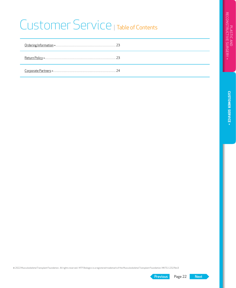## <span id="page-21-0"></span>Customer Service | Table of Contents

© 2022 Musculoskeletal Transplant Foundation. All rights reserved. MTF Biologics is a registered trademark of the Musculoskeletal Transplant Foundation. MKTG-1232 Rev3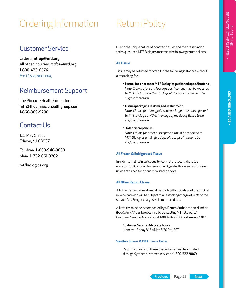## <span id="page-22-0"></span>Ordering Information Return Policy

#### Customer Service

Orders: mtfop@mtf.org All other inquiries: [mtfcs@mtf.org](mailto:mtfcs%40mtf.org?subject=Inquiry) 1-800-433-6576 *For U.S. orders only*

### Reimbursement Support

The Pinnacle Health Group, Inc. [mtf@thepinnaclehealthgroup.com](mailto:mtf%40thepinnaclehealthgroup.com?subject=Reimbursement%20Support) 1-866-369-9290

### Contact Us

125 May Street Edison, NJ 08837

Toll-free: 1-800-946-9008 Main: 1-732-661-0202

#### [mtfbiologics.org](http://mtfbiologics.org)

Due to the unique nature of donated tissues and the preservation techniques used, MTF Biologics maintains the following return policies:

#### **All Tissue**

Tissue may be returned for credit in the following instances without a restocking fee:

• Tissue does not meet MTF Biologics published specifications: *Note: Claims of unsatisfactory specifications must be reported to MTF Biologics within 30 days of the date of invoice to be eligible for return.*

#### • Tissue/packaging is damaged in shipment:

*Note: Claims for damaged tissue packages must be reported to MTF Biologics within five days of receipt of tissue to be eligible for return.*

#### • Order discrepancies:

*Note: Claims for order discrepancies must be reported to MTF Biologics within five days of receipt of tissue to be eligible for return.*

#### **All Frozen & Refrigerated Tissue**

In order to maintain strict quality control protocols, there is a no-return policy for all frozen and refrigerated bone and soft tissue, unless returned for a condition stated above.

#### **All Other Return Claims**

All other return requests must be made within 30 days of the original invoice date and will be subject to a restocking charge of 20% of the service fee. Freight charges will not be credited.

All returns must be accompanied by a Return Authorization Number (RA#). An RA# can be obtained by contacting MTF Biologics' Customer Service Advocates at 1-800-946-9008 extension 2307.

Customer Service Advocate hours: Monday – Friday 8:15 AM to 5:30 PM, EST

#### **Synthes Spacer & DBX Tissue Items**

Return requests for these tissue items must be initiated through Synthes customer service at 1-800-522-9069.